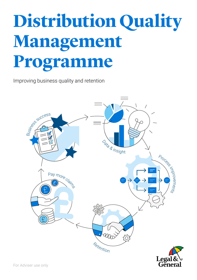## **Distribution Quality Management Programme**

Improving business quality and retention



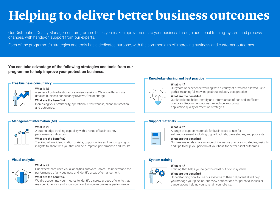# **Helping to deliver better business outcomes**

Our Distribution Quality Management programme helps you make improvements to your business through additional training, system and process changes, with hands-on support from our experts.

Each of the programme's strategies and tools has a dedicated purpose, with the common aim of improving business and customer outcomes.

## **You can take advantage of the following strategies and tools from our programme to help improve your protection business.**

### **Free business consultancy**



## **What is it?**

A series of online best-practice review sessions. We also offer on-site detailed business consultancy reviews, free of charge.

#### **What are the benefits?**

Increasing your profitability, operational effectiveness, client satisfaction and outcomes.

## **Management information (MI)**



## **What is it?**

A cutting-edge tracking capability with a range of business key performance indicators.

#### **What are the benefits?**

Tracking allows identification of risks, opportunities and trends, giving us insights to share with you that can help improve performance and results.

## **Visual analytics**



## **What is it?**

Our expert team uses visual analytics software Tableau to understand the performance of any business and identify areas of enhancement.

## **What are the benefits?**

We dig deeper into your metrics to identify discrete groups of clients that may be higher risk and show you how to improve business performance.

## **Knowledge sharing and best practice**

### **What is it?**



Our years of experience working with a variety of firms has allowed us to gather meaningful knowledge about industry best practice.

## **What are the benefits?**

Our knowledge helps identify and inform areas of risk and inefficient practices. Recommendations can include improving application quality or retention strategies.

## **Support materials**



## **What is it?**

A range of support materials for businesses to use for self-improvement, including digital booklets, case studies, and podcasts.

#### **What are the benefits?**

Our free materials share a range of innovative practices, strategies, insights and tips to help you perform at your best, for better client outcomes.

## **System training**



## **What is it?**

Training that helps you to get the most out of our systems.

## **What are the benefits?**

Understanding how to use our systems to their full potential will help you manage your pipeline, and view notifications for potential lapses or cancellations helping you to retain your clients.